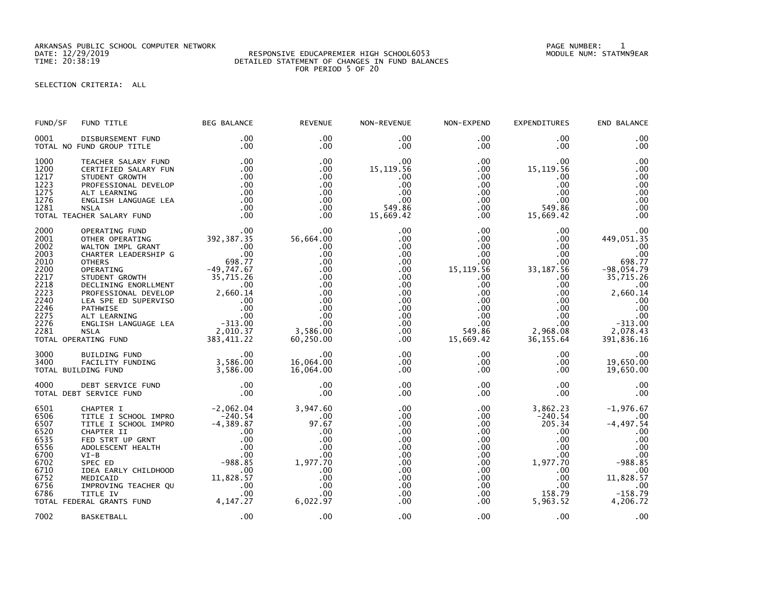ARKANSAS PUBLIC SCHOOL COMPUTER NETWORK PAGE NUMBER: 1

## DATE: 12/29/2019 RESPONSIVE EDUCAPREMIER HIGH SCHOOL6053 MODULE NUM: STATMN9EAR TIME: 20:38:19 DETAILED STATEMENT OF CHANGES IN FUND BALANCES FOR PERIOD 5 OF 20

## SELECTION CRITERIA: ALL

| FUND/SF                                                                                                      | FUND TITLE                                                                                                                                                                                                                                                                                                                                                                              | <b>BEG BALANCE</b>                                                                                | <b>REVENUE</b>                                                                                                                       | NON-REVENUE                                                                                                                              | NON-EXPEND                                                                                                                                                                       | <b>EXPENDITURES</b>                                                                                                                                                                        | END BALANCE                                                                                                                                           |
|--------------------------------------------------------------------------------------------------------------|-----------------------------------------------------------------------------------------------------------------------------------------------------------------------------------------------------------------------------------------------------------------------------------------------------------------------------------------------------------------------------------------|---------------------------------------------------------------------------------------------------|--------------------------------------------------------------------------------------------------------------------------------------|------------------------------------------------------------------------------------------------------------------------------------------|----------------------------------------------------------------------------------------------------------------------------------------------------------------------------------|--------------------------------------------------------------------------------------------------------------------------------------------------------------------------------------------|-------------------------------------------------------------------------------------------------------------------------------------------------------|
| 0001                                                                                                         | DISBURSEMENT FUND<br>TOTAL NO FUND GROUP TITLE                                                                                                                                                                                                                                                                                                                                          | .00<br>.00                                                                                        | .00<br>$.00 \times$                                                                                                                  | .00<br>$.00 \,$                                                                                                                          | $.00 \,$<br>$.00 \,$                                                                                                                                                             | $.00 \,$<br>$.00 \,$                                                                                                                                                                       | .00<br>.00                                                                                                                                            |
| 1000<br>1200<br>1217<br>1223<br>1275<br>1276<br>1281                                                         | TEACHER SALARY FUND<br>CERTIFIED SALARY FUN<br>STUDENT GROWTH<br>PROFESSIONAL DEVELOP<br>ALT LEARNING<br>ENGLISH LANGUAGE LEA<br><b>NSLA</b><br>TOTAL TEACHER SALARY FUND                                                                                                                                                                                                               | .00<br>.00<br>.00<br>.00<br>.00<br>.00<br>.00<br>.00                                              | .00<br>.00<br>.00<br>.00<br>$.00 \times$<br>.00<br>$.00 \times$<br>.00                                                               | $.00 \,$<br>15,119.56<br>.00<br>.00<br>.00<br>.00<br>549.86<br>15,669.42                                                                 | $.00 \,$<br>$.00 \,$<br>$.00 \,$<br>$.00 \,$<br>$.00\,$<br>.00<br>$.00 \,$<br>$.00 \,$                                                                                           | $.00 \,$<br>15, 119.56<br>.00.<br>.00<br>.00<br>.00<br>549.86<br>15,669.42                                                                                                                 | .00<br>.00<br>.00<br>.00<br>.00<br>.00<br>.00<br>.00                                                                                                  |
| 2000<br>2001<br>2002<br>2003<br>2010<br>2200<br>2217<br>2218<br>2223<br>2240<br>2246<br>2275<br>2276<br>2281 | OPERATING FUND<br>OTHER OPERATING<br>WALTON IMPL GRANT<br>CHARTER LEADERSHIP G<br><b>OTHERS</b><br>OPERATING<br>0PERATING<br>STUDENT GROWTH<br>STUDENT GROWTH<br>PROFESSIONAL DEVELOP<br>PROFESSIONAL DEVELOP<br>PATHWISE<br>CONCILISM LANGUAGE LEA<br>ALT LEARNING<br>CONCILISM LANGUAGE LEA<br>PATHWISE<br>PATHY CUND<br>PATING<br>PATING<br>PATING 22,010.37<br>TOTAL OPERATING FUND | .00<br>392,387.35<br>$\begin{array}{c}00\\00\\698.77\end{array}$<br>$-49,747.67$<br>383,411.22    | .00<br>56,664.00<br>$.00 \,$<br>.00<br>$.00 \times$<br>.00<br>.00<br>.00<br>.00<br>.00<br>.00<br>.00<br>.00<br>3,586.00<br>60,250.00 | .00<br>.00<br>$.00 \,$<br>.00<br>.00<br>.00<br>.00<br>$.00 \,$<br>$.00 \,$<br>$.00 \,$<br>.00<br>.00<br>$.00 \,$<br>$.00 \,$<br>$.00 \,$ | $.00 \,$<br>$.00 \,$<br>$.00 \,$<br>.00 <sub>1</sub><br>$.00 \cdot$<br>15, 119.56<br>$.00 \,$<br>$.00 \,$<br>$.00\,$<br>$.00\,$<br>.00<br>.00<br>$.00 \,$<br>549.86<br>15,669.42 | $.00 \,$<br>$.00 \,$<br>$.00 \cdot$<br>$.00 \times$<br>$.00 \,$<br>33, 187.56<br>$.00 \,$<br>$.00 \,$<br>$.00 \,$<br>$.00 \,$<br>$.00 \,$<br>$.00 \,$<br>$.00 \,$<br>2,968.08<br>36,155.64 | .00<br>449,051.35<br>.00<br>.00<br>698.77<br>$-98,054.79$<br>35,715.26<br>.00<br>2,660.14<br>.00<br>.00<br>.00<br>$-313.00$<br>2,078.43<br>391,836.16 |
| 3000<br>3400                                                                                                 | BUILDING FUND<br>FACILITY FUNDING<br>TOTAL BUILDING FUND                                                                                                                                                                                                                                                                                                                                | .00<br>3,586.00<br>3,586.00                                                                       | .00<br>16,064.00<br>16,064.00                                                                                                        | $.00 \,$<br>$.00 \,$<br>$.00 \,$                                                                                                         | $.00 \,$<br>$.00 \,$<br>$.00 \,$                                                                                                                                                 | $.00 \,$<br>$.00 \,$<br>$.00 \,$                                                                                                                                                           | .00<br>19,650.00<br>19,650.00                                                                                                                         |
| 4000                                                                                                         | DEBT SERVICE FUND<br>TOTAL DEBT SERVICE FUND                                                                                                                                                                                                                                                                                                                                            | .00<br>.00                                                                                        | .00<br>.00                                                                                                                           | .00<br>.00                                                                                                                               | .00<br>$.00 \,$                                                                                                                                                                  | .00 <sub>1</sub><br>$.00 \,$                                                                                                                                                               | .00<br>.00                                                                                                                                            |
| 6501<br>6506<br>6507<br>6520<br>6535<br>6556<br>6700<br>6702<br>6710<br>6752<br>6756<br>6786                 | CHAPTER I<br>TITLE I SCHOOL IMPRO<br>TITLE I SCHOOL IMPRO<br>CHAPTER II<br>FED STRT UP GRNT<br>ADOLESCENT HEALTH<br>$VI-B$<br>SPEC ED<br>IDEA EARLY CHILDHOOD<br>MEDICAID<br>IMPROVING TEACHER QU<br>TITLE IV<br>TOTAL FEDERAL GRANTS FUND 4,147.27                                                                                                                                     | -2,062.04<br>-240.54<br>$-4, 389.87$<br>$-4,38$<br>$0.06$<br>$-988.85$<br>$11$<br>.00<br>$.00 \,$ | 3,947.60<br>.00<br>97.67<br>.00<br>.00<br>.00<br>.00<br>1,977.70<br>.00<br>.00<br>.00<br>.00<br>6,022.97                             | .00<br>$.00 \,$<br>.00<br>.00<br>.00<br>.00<br>.00 <sub>1</sub><br>.00<br>$.00 \,$<br>.00<br>$.00 \,$<br>$.00 \,$<br>.00                 | $.00 \,$<br>$.00 \,$<br>$.00 \,$<br>$.00 \,$<br>$.00 \cdot$<br>$.00\,$<br>.00<br>$.00 \,$<br>$.00 \,$<br>$.00\,$<br>$.00\,$<br>$.00 \,$<br>.00                                   | 3,862.23<br>$-240.54$<br>205.34<br>$.00 \,$<br>$.00 \,$<br>$.00 \,$<br>.00<br>1,977.70<br>$.00 \,$<br>$.00 \,$<br>$.00 \,$<br>158.79<br>5,963.52                                           | $-1,976.67$<br>.00<br>$-4, 497.54$<br>.00<br>.00<br>.00<br>.00<br>$-988.85$<br>.00<br>11,828.57<br>.00<br>$-158.79$<br>4,206.72                       |
| 7002                                                                                                         | BASKETBALL                                                                                                                                                                                                                                                                                                                                                                              | .00                                                                                               | .00                                                                                                                                  | .00                                                                                                                                      | $.00 \,$                                                                                                                                                                         | $.00 \,$                                                                                                                                                                                   | .00                                                                                                                                                   |